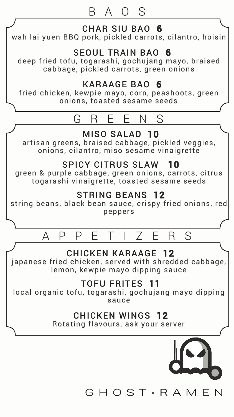## BAOS



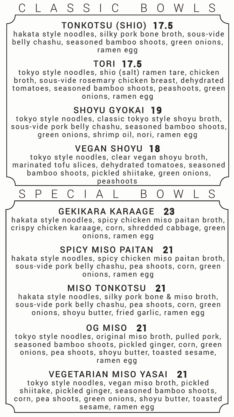

sesame, ramen egg